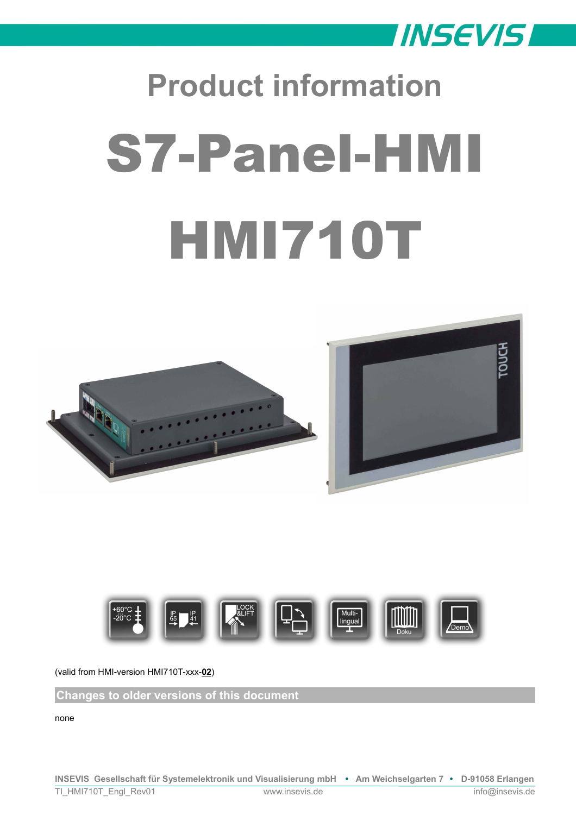

# **Product information** S7-Panel-HMI HMI710T





(valid from HMI-version HMI710T-xxx-**02**)

**Changes to older versions of this document**

none

**INSEVIS Gesellschaft für Systemelektronik und Visualisierung mbH • Am Weichselgarten 7 • D-91058 Erlangen**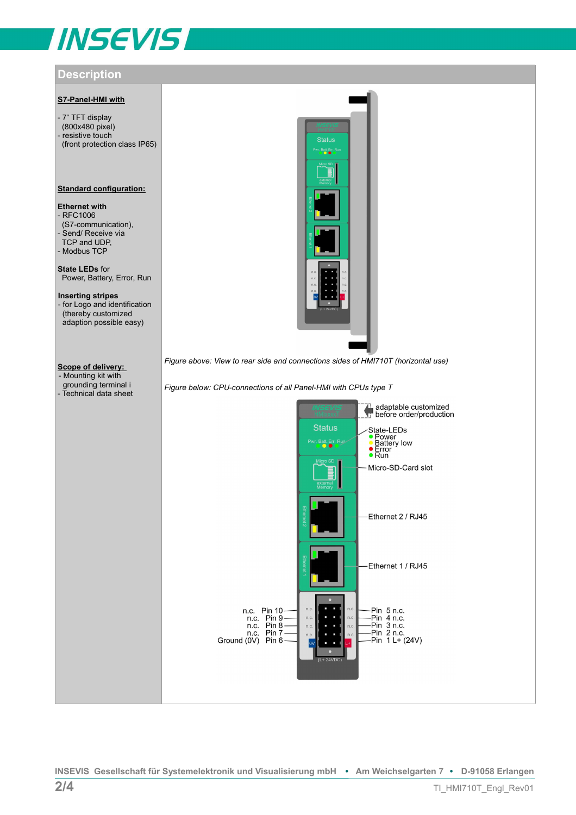# **INSEVIS**

# **Description**

# **S7-Panel-HMI with**

- 7" TFT display (800x480 pixel) - resistive touch (front protection class IP65)

# **Standard configuration:**

# **Ethernet with**

- RFC1006 (S7-communication), - Send/ Receive via TCP and UDP, - Modbus TCP

**State LEDs** for Power, Battery, Error, Run

**Inserting stripes**  - for Logo and identification (thereby customized adaption possible easy)

# **Scope of delivery:**

- Mounting kit with grounding terminal i - Technical data sheet



*Figure above: View to rear side and connections sides of HMI710T (horizontal use)*

*Figure below: CPU-connections of all Panel-HMI with CPUs type T*

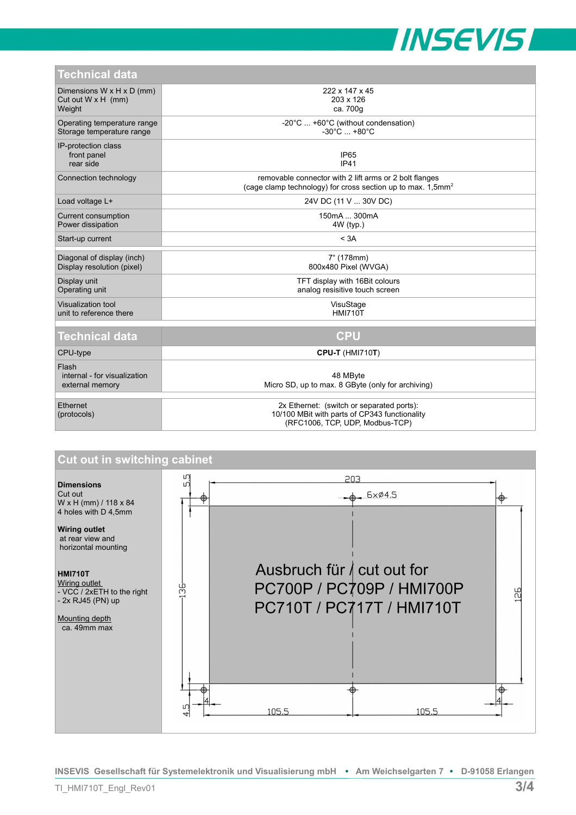

| TGUNNUGI UALA                                                                |                                                                                                                                   |
|------------------------------------------------------------------------------|-----------------------------------------------------------------------------------------------------------------------------------|
| Dimensions $W \times H \times D$ (mm)<br>Cut out $W \times H$ (mm)<br>Weight | 222 x 147 x 45<br>203 x 126<br>ca. 700g                                                                                           |
| Operating temperature range<br>Storage temperature range                     | -20°C  +60°C (without condensation)<br>$-30^{\circ}$ C $+80^{\circ}$ C                                                            |
| IP-protection class<br>front panel<br>rear side                              | IP <sub>65</sub><br><b>IP41</b>                                                                                                   |
| Connection technology                                                        | removable connector with 2 lift arms or 2 bolt flanges<br>(cage clamp technology) for cross section up to max. 1,5mm <sup>2</sup> |
| Load voltage L+                                                              | 24V DC (11 V  30V DC)                                                                                                             |
| Current consumption<br>Power dissipation                                     | 150mA  300mA<br>$4W$ (typ.)                                                                                                       |
| Start-up current                                                             | < 3A                                                                                                                              |
| Diagonal of display (inch)<br>Display resolution (pixel)                     | 7" (178mm)<br>800x480 Pixel (WVGA)                                                                                                |
| Display unit<br>Operating unit                                               | TFT display with 16Bit colours<br>analog resisitive touch screen                                                                  |
| Visualization tool<br>unit to reference there                                | VisuStage<br><b>HMI710T</b>                                                                                                       |
| <b>Technical data</b>                                                        | <b>CPU</b>                                                                                                                        |
| CPU-type                                                                     | <b>CPU-T (HMI710T)</b>                                                                                                            |
| Flash<br>internal - for visualization<br>external memory                     | 48 MByte<br>Micro SD, up to max. 8 GByte (only for archiving)                                                                     |
| Ethernet<br>(protocols)                                                      | 2x Ethernet: (switch or separated ports):<br>10/100 MBit with parts of CP343 functionality<br>(RFC1006, TCP, UDP, Modbus-TCP)     |



**INSEVIS Gesellschaft für Systemelektronik und Visualisierung mbH • Am Weichselgarten 7 • D-91058 Erlangen**

**Technical data**